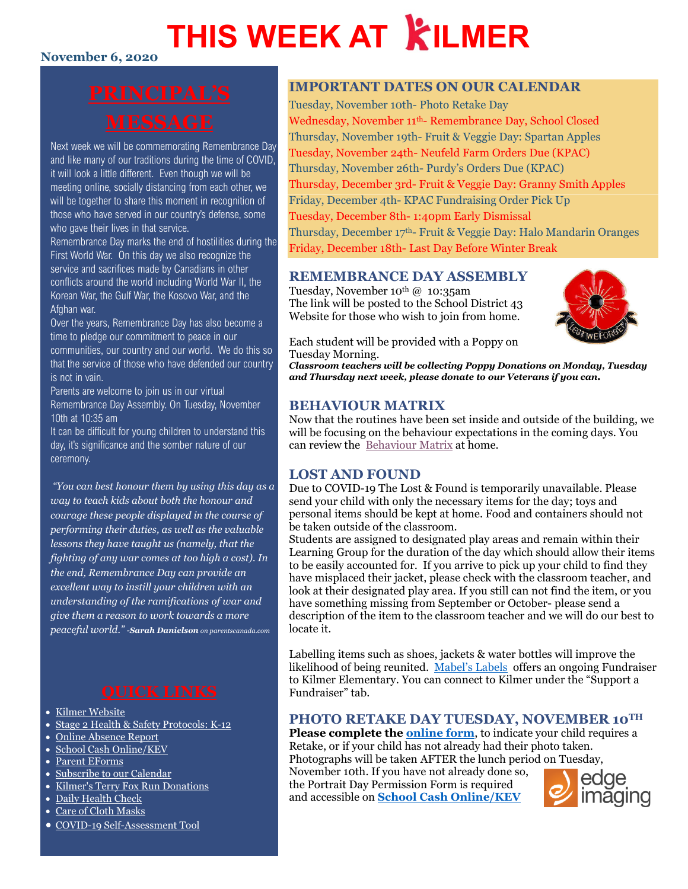## **THIS WEEK AT KILMER**

### **November 6, 2020**

Next week we will be commemorating Remembrance Day and like many of our traditions during the time of COVID, it will look a little different. Even though we will be meeting online, socially distancing from each other, we will be together to share this moment in recognition of those who have served in our country's defense, some who gave their lives in that service.

Remembrance Day marks the end of hostilities during the First World War. On this day we also recognize the service and sacrifices made by Canadians in other conflicts around the world including World War II, the Korean War, the Gulf War, the Kosovo War, and the Afghan war.

Over the years, Remembrance Day has also become a time to pledge our commitment to peace in our communities, our country and our world. We do this so that the service of those who have defended our country is not in vain.

Parents are welcome to join us in our virtual Remembrance Day Assembly. On Tuesday, November 10th at 10:35 am

It can be difficult for young children to understand this day, it's significance and the somber nature of our ceremony.

*"You can best honour them by using this day as a way to teach kids about both the honour and courage these people displayed in the course of performing their duties, as well as the valuable lessons they have taught us (namely, that the fighting of any war comes at too high a cost). In the end, Remembrance Day can provide an excellent way to instill your children with an understanding of the ramifications of war and give them a reason to work towards a more peaceful world." -Sarah Danielson on parentscanada.com*

- [Kilmer Website](http://www.sd43.bc.ca/school/kilmer/Pages/default.aspx#/=)
- [Stage 2 Health & Safety Protocols: K-12](https://www.sd43.bc.ca/FAQ/Documents/Health%20%20Safety%20Protocols%20for%20Schools%20Stage%202%20September%2023%202020;%20for%20Parents.pdf)
- [Online Absence Report](https://www2016.sd43.bc.ca/eforms/_layouts/15/FormServer.aspx?XsnLocation=http://www2016.sd43.bc.ca/eforms/AbsenceReportForm/Forms/template.xsn&OpenIn=browser&SaveLocation=http://www2016.sd43.bc.ca/eforms/AbsenceReportForm&Source=http://www2016.sd43.bc.ca/eforms/AbsenceReportForm)
- [School Cash Online/KEV](http://www.schoolcashonline.com/)
- [Parent EForms](http://www.sd43.bc.ca/school/kilmer/Parents/forms/Pages/default.aspx#/=)
- [Subscribe to our Calendar](http://www.sd43.bc.ca/school/kilmer/_LAYOUTS/15/scholantis/handlers/ical/event.ashx?List=0d97a795-418c-4bb3-a2e1-43959499908f&Redirect=true)
- [Kilmer's Terry Fox Run Donations](https://secure.terryfox.ca/registrant/TeamFundraisingPage.aspx?TeamID=915779)
- [Daily Health Check](http://www.sd43.bc.ca/Lists/Documents/2020.09.18%20Daily%20Health%20Check%20Screen%20(English).pdf)
- [Care of Cloth Masks](https://www.sd43.bc.ca/school/kilmer/Documents/Care%20of%20cloth%20masks.pdf)
- [COVID-19 Self-Assessment Tool](https://bc.thrive.health/)

#### **IMPORTANT DATES ON OUR CALENDAR**

Tuesday, November 10th- Photo Retake Day Wednesday, November 11th- Remembrance Day, School Closed Thursday, November 19th- Fruit & Veggie Day: Spartan Apples Tuesday, November 24th- Neufeld Farm Orders Due (KPAC) Thursday, November 26th- Purdy's Orders Due (KPAC) Thursday, December 3rd- Fruit & Veggie Day: Granny Smith Apples Friday, December 4th- KPAC Fundraising Order Pick Up Tuesday, December 8th- 1:40pm Early Dismissal Thursday, December 17th- Fruit & Veggie Day: Halo Mandarin Oranges Friday, December 18th- Last Day Before Winter Break

#### **REMEMBRANCE DAY ASSEMBLY**

Tuesday, November  $10^{th}$  @  $10:35$ am The link will be posted to the School District 43 Website for those who wish to join from home.



Each student will be provided with a Poppy on Tuesday Morning.

*Classroom teachers will be collecting Poppy Donations on Monday, Tuesday and Thursday next week, please donate to our Veterans if you can.* 

#### **BEHAVIOUR MATRIX**

Now that the routines have been set inside and outside of the building, we will be focusing on the behaviour expectations in the coming days. You can review the [Behaviour Matrix](https://www.sd43.bc.ca/school/kilmer/About/COC/Documents/MATRIX%20OF%20LANGUAGE%20of%20Behavioural%20Expectations%20-%20KILMER%20Elementary%202020-21%20%20%208.5x11.pdf?csf=1) at home.

#### **LOST AND FOUND**

Due to COVID-19 The Lost & Found is temporarily unavailable. Please send your child with only the necessary items for the day; toys and personal items should be kept at home. Food and containers should not be taken outside of the classroom.

Students are assigned to designated play areas and remain within their Learning Group for the duration of the day which should allow their items to be easily accounted for. If you arrive to pick up your child to find they have misplaced their jacket, please check with the classroom teacher, and look at their designated play area. If you still can not find the item, or you have something missing from September or October- please send a description of the item to the classroom teacher and we will do our best to locate it.

Labelling items such as shoes, jackets & water bottles will improve the likelihood of being reunited. [Mabel's Labels](https://mabelslabels.ca/) offers an ongoing Fundraiser to Kilmer Elementary. You can connect to Kilmer under the "Support a Fundraiser" tab.

#### **PHOTO RETAKE DAY TUESDAY, NOVEMBER 10TH**

Please complete the **online form**, to indicate your child requires a Retake, or if your child has not already had their photo taken. Photographs will be taken AFTER the lunch period on Tuesday, November 10th. If you have not already done so, the Portrait Day Permission Form is required

and accessible on **[School Cash Online/KEV](http://www.schoolcashonline.com/)**

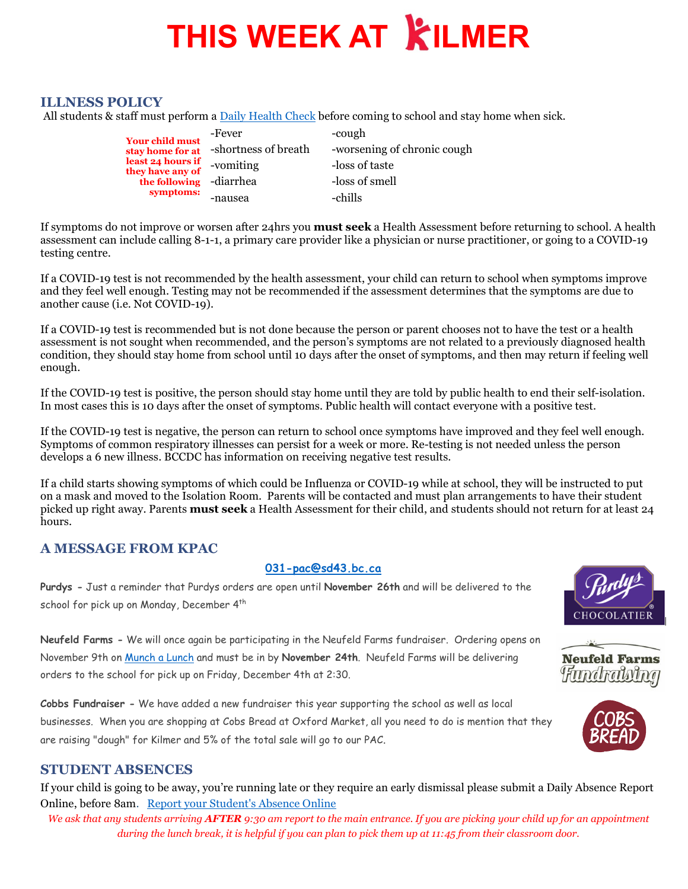## **THIS WEEK AT KILMER**

#### **ILLNESS POLICY**

All students & staff must perform [a Daily Health Check](http://www.sd43.bc.ca/Lists/Documents/2020.09.18%20Daily%20Health%20Check%20Screen%20(English).pdf) before coming to school and stay home when sick.

| <b>Your child must</b>                | -Fever               | -cough                      |
|---------------------------------------|----------------------|-----------------------------|
| stav home for at                      | -shortness of breath | -worsening of chronic cough |
| least 24 hours if<br>they have any of | -vomiting            | -loss of taste              |
| the following                         | -diarrhea            | -loss of smell              |
| symptoms:                             | -nausea              | -chills                     |

If symptoms do not improve or worsen after 24hrs you **must seek** a Health Assessment before returning to school. A health assessment can include calling 8-1-1, a primary care provider like a physician or nurse practitioner, or going to a COVID-19 testing centre.

If a COVID-19 test is not recommended by the health assessment, your child can return to school when symptoms improve and they feel well enough. Testing may not be recommended if the assessment determines that the symptoms are due to another cause (i.e. Not COVID-19).

If a COVID-19 test is recommended but is not done because the person or parent chooses not to have the test or a health assessment is not sought when recommended, and the person's symptoms are not related to a previously diagnosed health condition, they should stay home from school until 10 days after the onset of symptoms, and then may return if feeling well enough.

If the COVID-19 test is positive, the person should stay home until they are told by public health to end their self-isolation. In most cases this is 10 days after the onset of symptoms. Public health will contact everyone with a positive test.

If the COVID-19 test is negative, the person can return to school once symptoms have improved and they feel well enough. Symptoms of common respiratory illnesses can persist for a week or more. Re-testing is not needed unless the person develops a 6 new illness. BCCDC has information on receiving negative test results.

If a child starts showing symptoms of which could be Influenza or COVID-19 while at school, they will be instructed to put on a mask and moved to the Isolation Room. Parents will be contacted and must plan arrangements to have their student picked up right away. Parents **must seek** a Health Assessment for their child, and students should not return for at least 24 hours.

#### **A MESSAGE FROM KPAC**

#### **[031-pac@sd43.bc.ca](mailto:031-pac@sd43.bc.ca)**

**Purdys -** Just a reminder that Purdys orders are open until **November 26th** and will be delivered to the school for pick up on Monday, December 4<sup>th</sup>

**Neufeld Farms -** We will once again be participating in the Neufeld Farms fundraiser. Ordering opens on November 9th on Munch [a Lunch](http://www.sd43.bc.ca/school/kilmer/Parents/Pages/default.aspx#/=) and must be in by **November 24th**. Neufeld Farms will be delivering orders to the school for pick up on Friday, December 4th at 2:30.

**Cobbs Fundraiser -** We have added a new fundraiser this year supporting the school as well as local businesses. When you are shopping at Cobs Bread at Oxford Market, all you need to do is mention that they are raising "dough" for Kilmer and 5% of the total sale will go to our PAC.

#### **STUDENT ABSENCES**

If your child is going to be away, you're running late or they require an early dismissal please submit a Daily Absence Report Online, before 8am. [Report your Student's Absence Online](https://www2016.sd43.bc.ca/eforms/_layouts/15/FormServer.aspx?XsnLocation=http://www2016.sd43.bc.ca/eforms/AbsenceReportForm/Forms/template.xsn&OpenIn=browser&SaveLocation=http://www2016.sd43.bc.ca/eforms/AbsenceReportForm&Source=http://www2016.sd43.bc.ca/eforms/AbsenceReportForm)

*We ask that any students arriving AFTER 9:30 am report to the main entrance. If you are picking your child up for an appointment during the lunch break, it is helpful if you can plan to pick them up at 11:45 from their classroom door.*





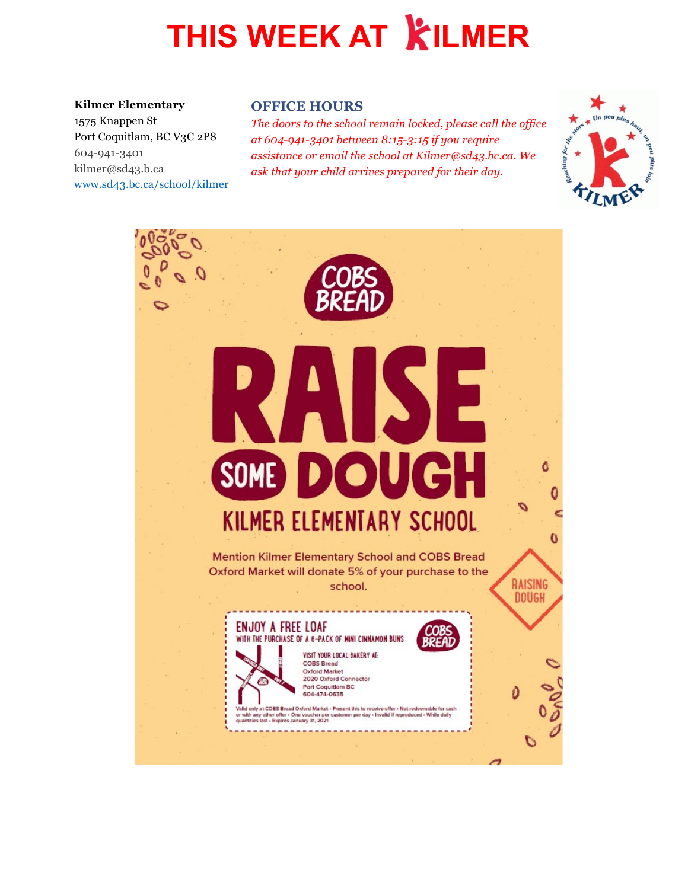# **THIS WEEK AT KILMER**

#### **Kilmer Elementary**

1575 Knappen St Port Coquitlam, BC V3C 2P8 604-941-3401 kilmer@sd43.b.ca [www.sd43.bc.ca/school/kilmer](http://www.sd43.bc.ca/school/kilmer)

#### **OFFICE HOURS**

*The doors to the school remain locked, please call the office at 604-941-3401 between 8:15-3:15 if you require assistance or email the school at Kilmer@sd43.bc.ca. We ask that your child arrives prepared for their day.*